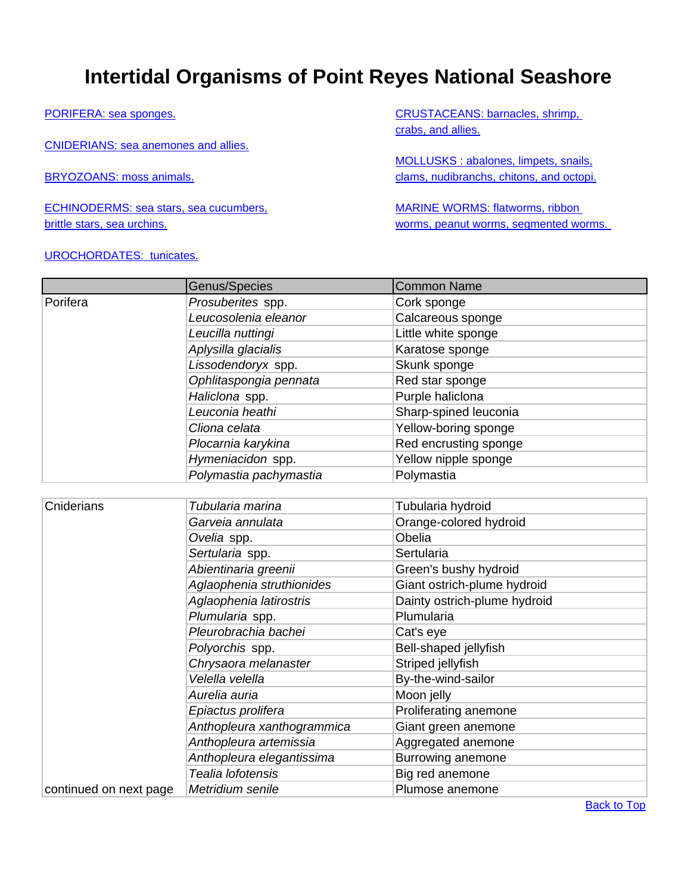## <span id="page-0-0"></span> **Intertidal Organisms of Point Reyes National Seashore**

[PORIFERA: sea sponges.](#page-0-0) 

[CNIDERIANS: sea anemones and allies.](#page-0-0) 

BRYOZOANS: moss animals.

ECHINODERMS: sea stars, sea cucumbers, brittle stars, sea urchins.

## UROCHORDATES: tunicates.

CRUSTACEANS: barnacles, shrimp, crabs, and allies.

MOLLUSKS : abalones, limpets, snails, clams, nudibranchs, chitons, and octopi.

MARINE WORMS: flatworms, ribbon worms, peanut worms, segmented worms.

|                        | Genus/Species              | <b>Common Name</b>           |
|------------------------|----------------------------|------------------------------|
| Porifera               | Prosuberites spp.          | Cork sponge                  |
|                        | Leucosolenia eleanor       | Calcareous sponge            |
|                        | Leucilla nuttingi          | Little white sponge          |
|                        | Aplysilla glacialis        | Karatose sponge              |
|                        | Lissodendoryx spp.         | Skunk sponge                 |
|                        | Ophlitaspongia pennata     | Red star sponge              |
|                        | Haliclona spp.             | Purple haliclona             |
|                        | Leuconia heathi            | Sharp-spined leuconia        |
|                        | Cliona celata              | Yellow-boring sponge         |
|                        | Plocarnia karykina         | Red encrusting sponge        |
|                        | Hymeniacidon spp.          | Yellow nipple sponge         |
|                        | Polymastia pachymastia     | Polymastia                   |
|                        |                            |                              |
| Cniderians             | Tubularia marina           | Tubularia hydroid            |
|                        | Garveia annulata           | Orange-colored hydroid       |
|                        | Ovelia spp.                | Obelia                       |
|                        | Sertularia spp.            | Sertularia                   |
|                        | Abientinaria greenii       | Green's bushy hydroid        |
|                        | Aglaophenia struthionides  | Giant ostrich-plume hydroid  |
|                        | Aglaophenia latirostris    | Dainty ostrich-plume hydroid |
|                        | Plumularia spp.            | Plumularia                   |
|                        | Pleurobrachia bachei       | Cat's eye                    |
|                        | Polyorchis spp.            | Bell-shaped jellyfish        |
|                        | Chrysaora melanaster       | Striped jellyfish            |
|                        | Velella velella            | By-the-wind-sailor           |
|                        | Aurelia auria              | Moon jelly                   |
|                        | Epiactus prolifera         | Proliferating anemone        |
|                        | Anthopleura xanthogrammica | Giant green anemone          |
|                        | Anthopleura artemissia     | Aggregated anemone           |
|                        | Anthopleura elegantissima  | Burrowing anemone            |
|                        | Tealia lofotensis          | Big red anemone              |
| continued on next page | Metridium senile           | Plumose anemone              |

**[Back to Top](#page-0-0)**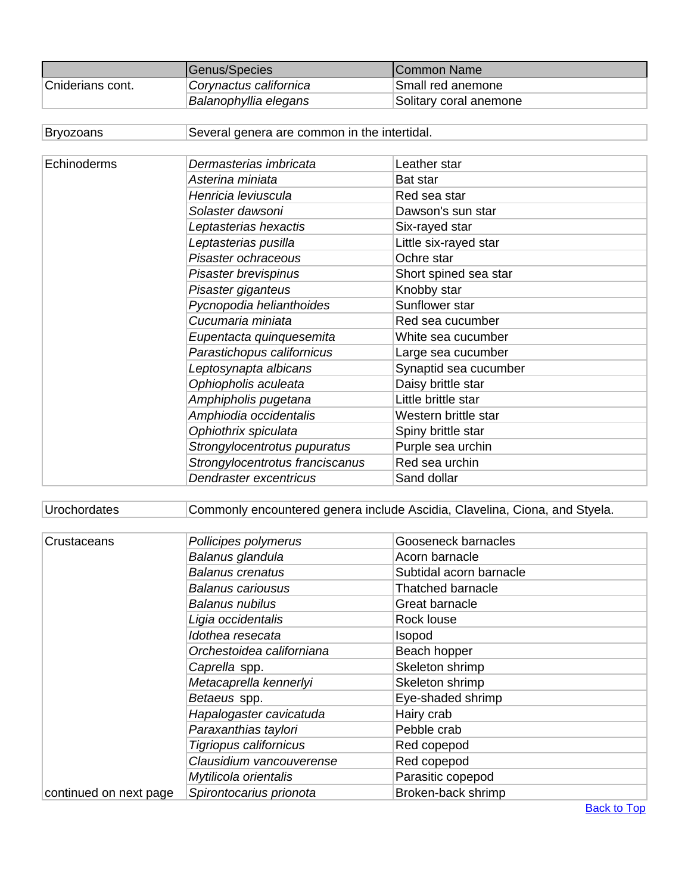|                  | Genus/Species          | <b>ICommon Name</b>    |  |
|------------------|------------------------|------------------------|--|
| Cniderians cont. | Corynactus californica | Small red anemone      |  |
|                  | Balanophyllia elegans  | Solitary coral anemone |  |

| <b>Bryozoans</b> | Several genera are common in the intertidal. |                       |
|------------------|----------------------------------------------|-----------------------|
|                  |                                              |                       |
| Echinoderms      | Dermasterias imbricata                       | Leather star          |
|                  | Asterina miniata                             | Bat star              |
|                  | Henricia leviuscula                          | Red sea star          |
|                  | Solaster dawsoni                             | Dawson's sun star     |
|                  | Leptasterias hexactis                        | Six-rayed star        |
|                  | Leptasterias pusilla                         | Little six-rayed star |
|                  | Pisaster ochraceous                          | Ochre star            |
|                  | Pisaster brevispinus                         | Short spined sea star |
|                  | Pisaster giganteus                           | Knobby star           |
|                  | Pycnopodia helianthoides                     | Sunflower star        |
|                  | Cucumaria miniata                            | Red sea cucumber      |
|                  | Eupentacta quinquesemita                     | White sea cucumber    |
|                  | Parastichopus californicus                   | Large sea cucumber    |
|                  | Leptosynapta albicans                        | Synaptid sea cucumber |
|                  | Ophiopholis aculeata                         | Daisy brittle star    |
|                  | Amphipholis pugetana                         | Little brittle star   |
|                  | Amphiodia occidentalis                       | Western brittle star  |
|                  | Ophiothrix spiculata                         | Spiny brittle star    |
|                  | Strongylocentrotus pupuratus                 | Purple sea urchin     |
|                  | Strongylocentrotus franciscanus              | Red sea urchin        |
|                  | Dendraster excentricus                       | Sand dollar           |

## Urochordates Commonly encountered genera include Ascidia, Clavelina, Ciona, and Styela.

| Crustaceans            | Pollicipes polymerus      | Gooseneck barnacles      |
|------------------------|---------------------------|--------------------------|
|                        | Balanus glandula          | Acorn barnacle           |
|                        | <b>Balanus crenatus</b>   | Subtidal acorn barnacle  |
|                        | <b>Balanus cariousus</b>  | <b>Thatched barnacle</b> |
|                        | <b>Balanus nubilus</b>    | Great barnacle           |
|                        | Ligia occidentalis        | Rock louse               |
|                        | Idothea resecata          | Isopod                   |
|                        | Orchestoidea californiana | Beach hopper             |
|                        | Caprella spp.             | Skeleton shrimp          |
|                        | Metacaprella kennerlyi    | Skeleton shrimp          |
|                        | Betaeus spp.              | Eye-shaded shrimp        |
|                        | Hapalogaster cavicatuda   | Hairy crab               |
|                        | Paraxanthias taylori      | Pebble crab              |
|                        | Tigriopus californicus    | Red copepod              |
|                        | Clausidium vancouverense  | Red copepod              |
|                        | Mytilicola orientalis     | Parasitic copepod        |
| continued on next page | Spirontocarius prionota   | Broken-back shrimp       |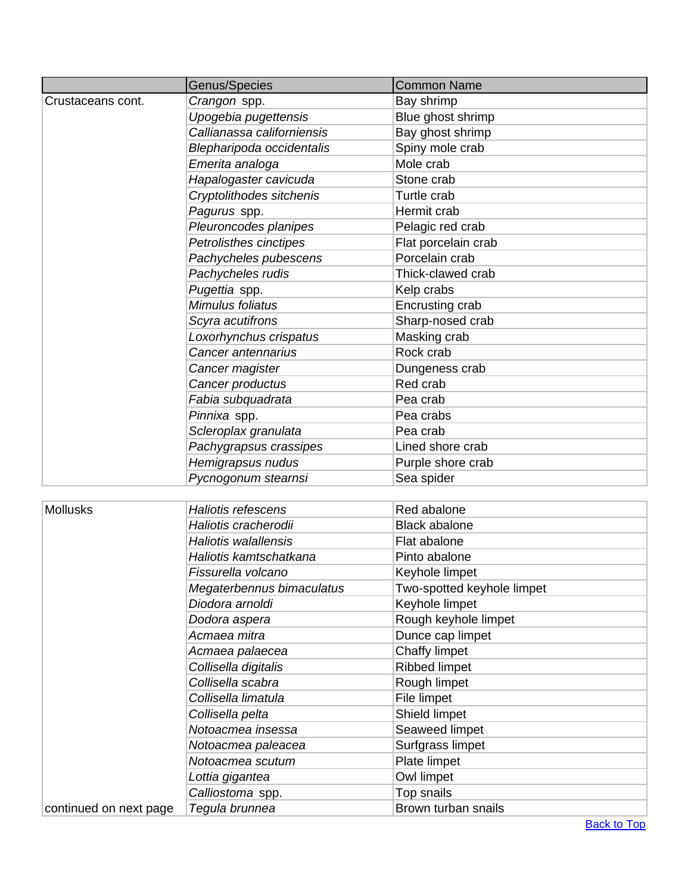|                        | Genus/Species               | <b>Common Name</b>         |
|------------------------|-----------------------------|----------------------------|
| Crustaceans cont.      | Crangon spp.                | Bay shrimp                 |
|                        | Upogebia pugettensis        | Blue ghost shrimp          |
|                        | Callianassa californiensis  | Bay ghost shrimp           |
|                        | Blepharipoda occidentalis   | Spiny mole crab            |
|                        | Emerita analoga             | Mole crab                  |
|                        | Hapalogaster cavicuda       | Stone crab                 |
|                        | Cryptolithodes sitchenis    | Turtle crab                |
|                        | Pagurus spp.                | Hermit crab                |
|                        | Pleuroncodes planipes       | Pelagic red crab           |
|                        | Petrolisthes cinctipes      | Flat porcelain crab        |
|                        | Pachycheles pubescens       | Porcelain crab             |
|                        | Pachycheles rudis           | Thick-clawed crab          |
|                        | Pugettia spp.               | Kelp crabs                 |
|                        | Mimulus foliatus            | Encrusting crab            |
|                        | Scyra acutifrons            | Sharp-nosed crab           |
|                        | Loxorhynchus crispatus      | Masking crab               |
|                        | Cancer antennarius          | Rock crab                  |
|                        | Cancer magister             | Dungeness crab             |
|                        | Cancer productus            | Red crab                   |
|                        | Fabia subquadrata           | Pea crab                   |
|                        | Pinnixa spp.                | Pea crabs                  |
|                        | Scleroplax granulata        | Pea crab                   |
|                        | Pachygrapsus crassipes      | Lined shore crab           |
|                        | Hemigrapsus nudus           | Purple shore crab          |
|                        | Pycnogonum stearnsi         | Sea spider                 |
|                        |                             |                            |
| <b>Mollusks</b>        | <b>Haliotis refescens</b>   | Red abalone                |
|                        | Haliotis cracherodii        | <b>Black abalone</b>       |
|                        | <b>Haliotis walallensis</b> | Flat abalone               |
|                        | Haliotis kamtschatkana      | Pinto abalone              |
|                        | Fissurella volcano          | Keyhole limpet             |
|                        | Megaterbennus bimaculatus   | Two-spotted keyhole limpet |
|                        | Diodora arnoldi             | Keyhole limpet             |
|                        | Dodora aspera               | Rough keyhole limpet       |
|                        | Acmaea mitra                | Dunce cap limpet           |
|                        | Acmaea palaecea             | Chaffy limpet              |
|                        | Collisella digitalis        | <b>Ribbed limpet</b>       |
|                        | Collisella scabra           | Rough limpet               |
|                        | Collisella limatula         | File limpet                |
|                        | Collisella pelta            | Shield limpet              |
|                        | Notoacmea insessa           | Seaweed limpet             |
|                        | Notoacmea paleacea          | Surfgrass limpet           |
|                        | Notoacmea scutum            | Plate limpet               |
|                        | Lottia gigantea             | Owl limpet                 |
|                        | Calliostoma spp.            | Top snails                 |
| continued on next page | Tegula brunnea              | Brown turban snails        |

**Back to Top**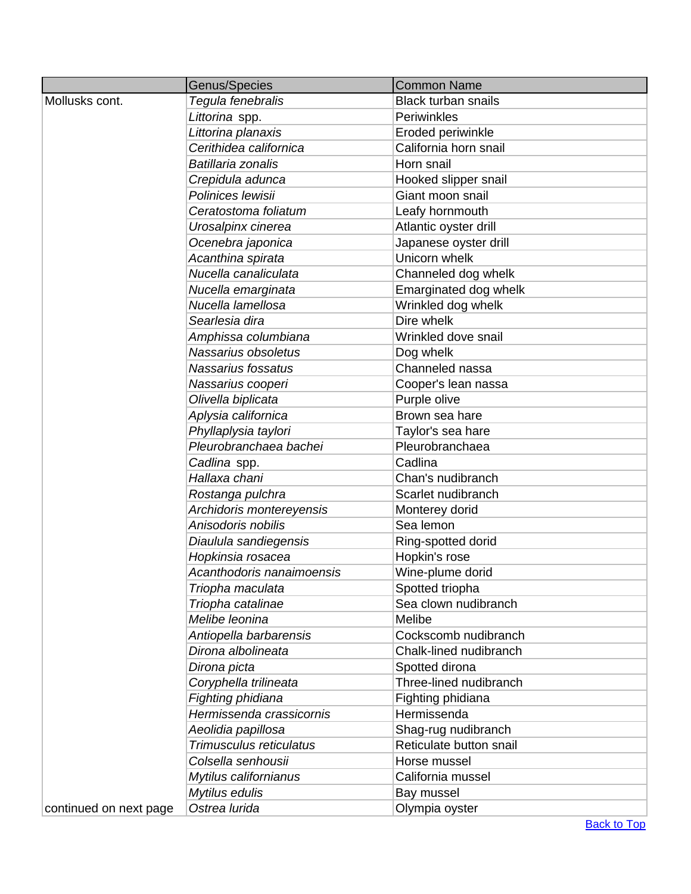|                        | Genus/Species             | <b>Common Name</b>         |
|------------------------|---------------------------|----------------------------|
| Mollusks cont.         | Tegula fenebralis         | <b>Black turban snails</b> |
|                        | Littorina spp.            | Periwinkles                |
|                        | Littorina planaxis        | Eroded periwinkle          |
|                        | Cerithidea californica    | California horn snail      |
|                        | Batillaria zonalis        | Horn snail                 |
|                        | Crepidula adunca          | Hooked slipper snail       |
|                        | Polinices lewisii         | Giant moon snail           |
|                        | Ceratostoma foliatum      | Leafy hornmouth            |
|                        | Urosalpinx cinerea        | Atlantic oyster drill      |
|                        | Ocenebra japonica         | Japanese oyster drill      |
|                        | Acanthina spirata         | Unicorn whelk              |
|                        | Nucella canaliculata      | Channeled dog whelk        |
|                        | Nucella emarginata        | Emarginated dog whelk      |
|                        | Nucella lamellosa         | Wrinkled dog whelk         |
|                        | Searlesia dira            | Dire whelk                 |
|                        | Amphissa columbiana       | Wrinkled dove snail        |
|                        | Nassarius obsoletus       | Dog whelk                  |
|                        | Nassarius fossatus        | Channeled nassa            |
|                        | Nassarius cooperi         | Cooper's lean nassa        |
|                        | Olivella biplicata        | Purple olive               |
|                        | Aplysia californica       | Brown sea hare             |
|                        | Phyllaplysia taylori      | Taylor's sea hare          |
|                        | Pleurobranchaea bachei    | Pleurobranchaea            |
|                        | Cadlina spp.              | Cadlina                    |
|                        | Hallaxa chani             | Chan's nudibranch          |
|                        | Rostanga pulchra          | Scarlet nudibranch         |
|                        | Archidoris montereyensis  | Monterey dorid             |
|                        | Anisodoris nobilis        | Sea lemon                  |
|                        | Diaulula sandiegensis     | Ring-spotted dorid         |
|                        | Hopkinsia rosacea         | Hopkin's rose              |
|                        | Acanthodoris nanaimoensis | Wine-plume dorid           |
|                        | Triopha maculata          | Spotted triopha            |
|                        | Triopha catalinae         | Sea clown nudibranch       |
|                        | Melibe leonina            | Melibe                     |
|                        | Antiopella barbarensis    | Cockscomb nudibranch       |
|                        | Dirona albolineata        | Chalk-lined nudibranch     |
|                        | Dirona picta              | Spotted dirona             |
|                        | Coryphella trilineata     | Three-lined nudibranch     |
|                        | Fighting phidiana         | Fighting phidiana          |
|                        | Hermissenda crassicornis  | Hermissenda                |
|                        | Aeolidia papillosa        | Shag-rug nudibranch        |
|                        | Trimusculus reticulatus   | Reticulate button snail    |
|                        | Colsella senhousii        | Horse mussel               |
|                        | Mytilus californianus     | California mussel          |
|                        | Mytilus edulis            | Bay mussel                 |
| continued on next page | Ostrea lurida             | Olympia oyster             |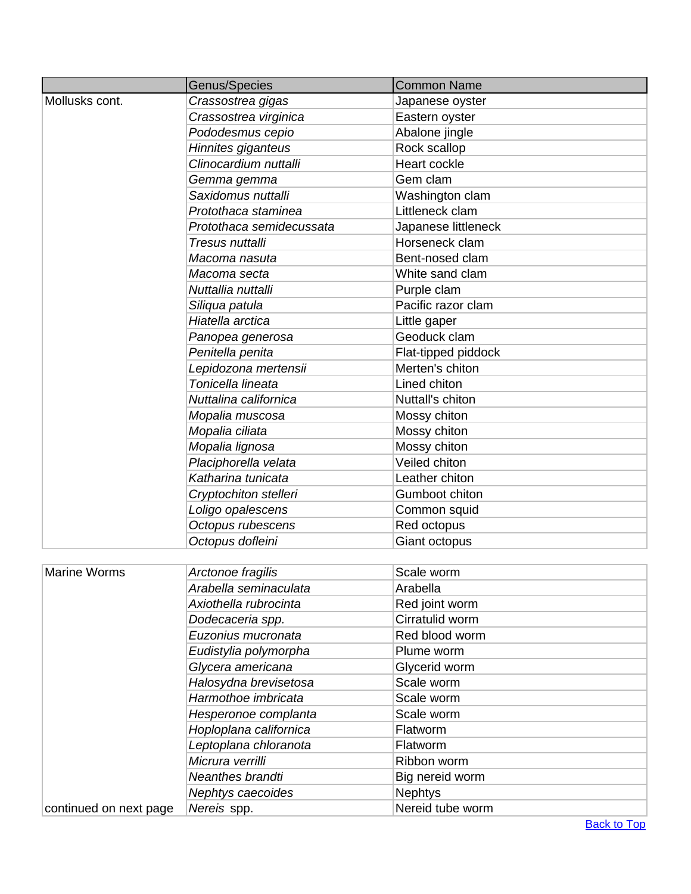|                        | Genus/Species            | <b>Common Name</b>  |
|------------------------|--------------------------|---------------------|
| Mollusks cont.         | Crassostrea gigas        | Japanese oyster     |
|                        | Crassostrea virginica    | Eastern oyster      |
|                        | Pododesmus cepio         | Abalone jingle      |
|                        | Hinnites giganteus       | Rock scallop        |
|                        | Clinocardium nuttalli    | Heart cockle        |
|                        | Gemma gemma              | Gem clam            |
|                        | Saxidomus nuttalli       | Washington clam     |
|                        | Protothaca staminea      | Littleneck clam     |
|                        | Protothaca semidecussata | Japanese littleneck |
|                        | Tresus nuttalli          | Horseneck clam      |
|                        | Macoma nasuta            | Bent-nosed clam     |
|                        | Macoma secta             | White sand clam     |
|                        | Nuttallia nuttalli       | Purple clam         |
|                        | Siliqua patula           | Pacific razor clam  |
|                        | Hiatella arctica         | Little gaper        |
|                        | Panopea generosa         | Geoduck clam        |
|                        | Penitella penita         | Flat-tipped piddock |
|                        | Lepidozona mertensii     | Merten's chiton     |
|                        | Tonicella lineata        | Lined chiton        |
|                        | Nuttalina californica    | Nuttall's chiton    |
|                        | Mopalia muscosa          | Mossy chiton        |
|                        | Mopalia ciliata          | Mossy chiton        |
|                        | Mopalia lignosa          | Mossy chiton        |
|                        | Placiphorella velata     | Veiled chiton       |
|                        | Katharina tunicata       | Leather chiton      |
|                        | Cryptochiton stelleri    | Gumboot chiton      |
|                        | Loligo opalescens        | Common squid        |
|                        | Octopus rubescens        | Red octopus         |
|                        | Octopus dofleini         | Giant octopus       |
|                        |                          |                     |
| <b>Marine Worms</b>    | Arctonoe fragilis        | Scale worm          |
|                        | Arabella seminaculata    | Arabella            |
|                        | Axiothella rubrocinta    | Red joint worm      |
|                        | Dodecaceria spp.         | Cirratulid worm     |
|                        | Euzonius mucronata       | Red blood worm      |
|                        | Eudistylia polymorpha    | Plume worm          |
|                        | Glycera americana        | Glycerid worm       |
|                        | Halosydna brevisetosa    | Scale worm          |
|                        | Harmothoe imbricata      | Scale worm          |
|                        | Hesperonoe complanta     | Scale worm          |
|                        | Hoploplana californica   | Flatworm            |
|                        | Leptoplana chloranota    | Flatworm            |
|                        | Micrura verrilli         | Ribbon worm         |
|                        | Neanthes brandti         | Big nereid worm     |
|                        | Nephtys caecoides        | <b>Nephtys</b>      |
| continued on next page | Nereis spp.              | Nereid tube worm    |